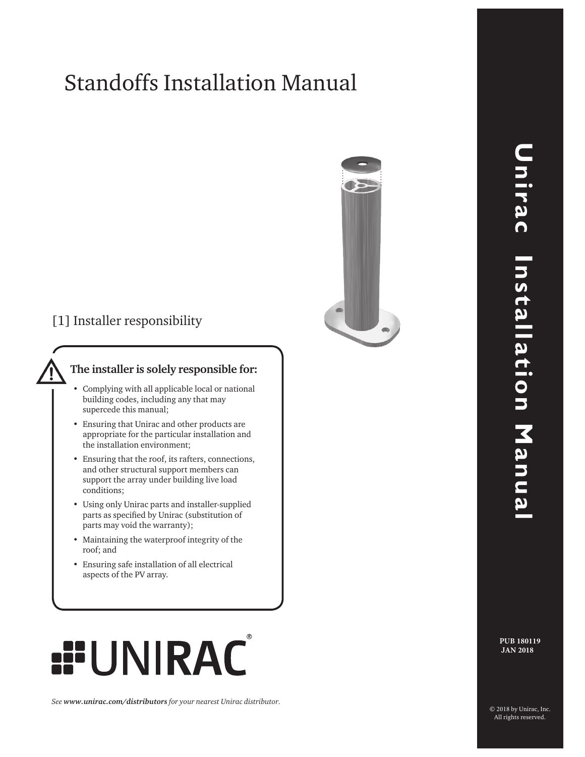# Standoffs Installation Manual



[1] Installer responsibility

#### **The installer is solely responsible for:**

- Complying with all applicable local or national building codes, including any that may supercede this manual;
- • Ensuring that Unirac and other products are appropriate for the particular installation and the installation environment;
- • Ensuring that the roof, its rafters, connections, and other structural support members can support the array under building live load conditions;
- • Using only Unirac parts and installer-supplied parts as specified by Unirac (substitution of parts may void the warranty);
- • Maintaining the waterproof integrity of the roof; and
- • Ensuring safe installation of all electrical aspects of the PV array.

# **RAC**

*See www.unirac.com/distributors for your nearest Unirac distributor.*

**PUB 180119 JAN 2018**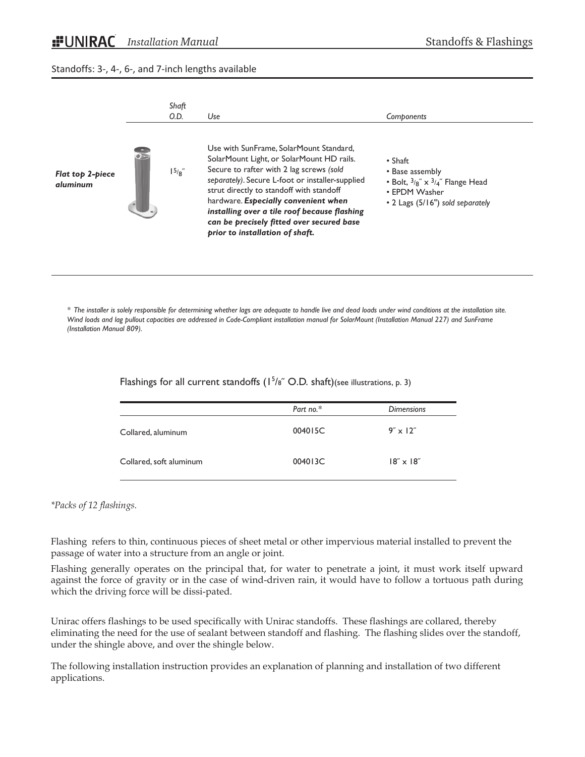#### Standoffs: 3-, 4-, 6-, and 7-inch lengths available



*\* The installer is solely responsible for determining whether lags are adequate to handle live and dead loads under wind conditions at the installation site. Wind loads and lag pullout capacities are addressed in Code-Compliant installation manual for SolarMount (Installation Manual 227) and SunFrame (Installation Manual 809).*

Flashings for all current standoffs  $(1^5/s^6)$  O.D. shaft)(see illustrations, p. 3)

|                         | Part no.* | <b>Dimensions</b>          |
|-------------------------|-----------|----------------------------|
| Collared, aluminum      | 004015C   | $9'' \times 12''$          |
| Collared, soft aluminum | 004013C   | $18^\circ \times 18^\circ$ |

#### *\*Packs of 12 flashings.*

Flashing refers to thin, continuous pieces of sheet metal or other impervious material installed to prevent the passage of water into a structure from an angle or joint.

Flashing generally operates on the principal that, for water to penetrate a joint, it must work itself upward against the force of gravity or in the case of wind-driven rain, it would have to follow a tortuous path during which the driving force will be dissi-pated.

Unirac offers flashings to be used specifically with Unirac standoffs. These flashings are collared, thereby eliminating the need for the use of sealant between standoff and flashing. The flashing slides over the standoff, under the shingle above, and over the shingle below.

The following installation instruction provides an explanation of planning and installation of two different applications.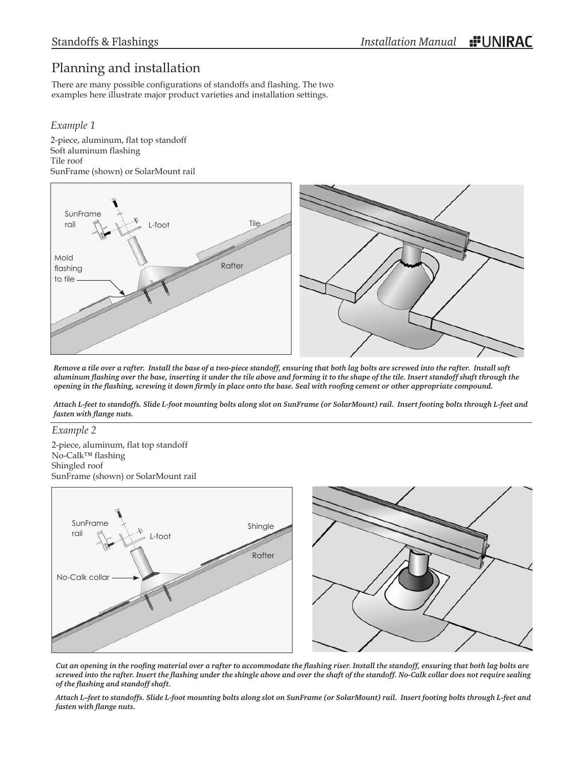## Planning and installation

There are many possible configurations of standoffs and flashing. The two examples here illustrate major product varieties and installation settings.

#### *Example 1*

2-piece, aluminum, flat top standoff Soft aluminum flashing Tile roof SunFrame (shown) or SolarMount rail



*Remove a tile over a rafter. Install the base of a two-piece standoff, ensuring that both lag bolts are screwed into the rafter. Install soft aluminum flashing over the base, inserting it under the tile above and forming it to the shape of the tile. Insert standoff shaft through the opening in the flashing, screwing it down firmly in place onto the base. Seal with roofing cement or other appropriate compound.*

*Attach L-feet to standoffs. Slide L-foot mounting bolts along slot on SunFrame (or SolarMount) rail. Insert footing bolts through L-feet and fasten with flange nuts.*

#### *Example 2*

2-piece, aluminum, flat top standoff No-Calk™ flashing Shingled roof SunFrame (shown) or SolarMount rail



*Cut an opening in the roofing material over a rafter to accommodate the flashing riser. Install the standoff, ensuring that both lag bolts are screwed into the rafter. Insert the flashing under the shingle above and over the shaft of the standoff. No-Calk collar does not require sealing of the flashing and standoff shaft.* 

*Attach L–feet to standoffs. Slide L-foot mounting bolts along slot on SunFrame (or SolarMount) rail. Insert footing bolts through L-feet and fasten with flange nuts.*